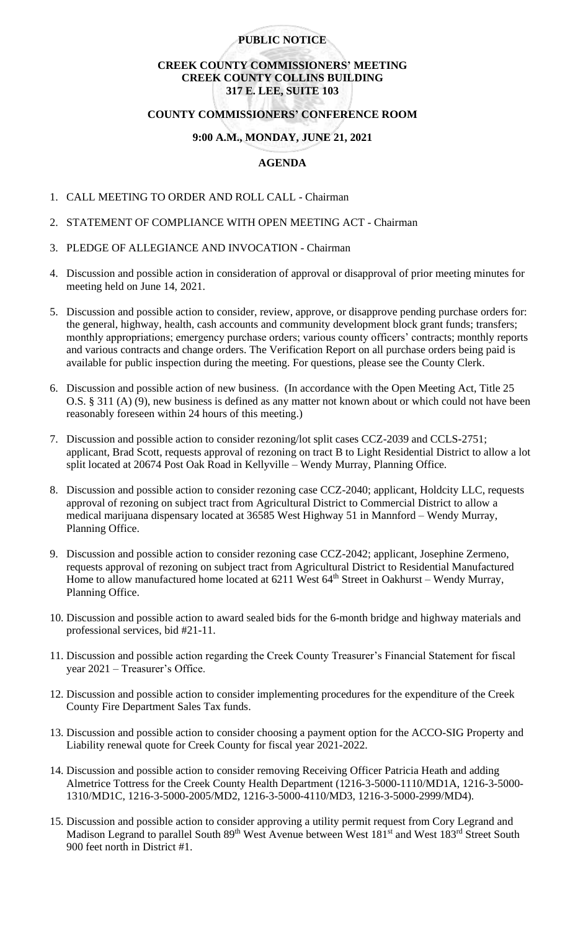## **PUBLIC NOTICE**

## **CREEK COUNTY COMMISSIONERS' MEETING CREEK COUNTY COLLINS BUILDING 317 E. LEE, SUITE 103**

# **COUNTY COMMISSIONERS' CONFERENCE ROOM**

### **9:00 A.M., MONDAY, JUNE 21, 2021**

## **AGENDA**

- 1. CALL MEETING TO ORDER AND ROLL CALL Chairman
- 2. STATEMENT OF COMPLIANCE WITH OPEN MEETING ACT Chairman
- 3. PLEDGE OF ALLEGIANCE AND INVOCATION Chairman
- 4. Discussion and possible action in consideration of approval or disapproval of prior meeting minutes for meeting held on June 14, 2021.
- 5. Discussion and possible action to consider, review, approve, or disapprove pending purchase orders for: the general, highway, health, cash accounts and community development block grant funds; transfers; monthly appropriations; emergency purchase orders; various county officers' contracts; monthly reports and various contracts and change orders. The Verification Report on all purchase orders being paid is available for public inspection during the meeting. For questions, please see the County Clerk.
- 6. Discussion and possible action of new business. (In accordance with the Open Meeting Act, Title 25 O.S. § 311 (A) (9), new business is defined as any matter not known about or which could not have been reasonably foreseen within 24 hours of this meeting.)
- 7. Discussion and possible action to consider rezoning/lot split cases CCZ-2039 and CCLS-2751; applicant, Brad Scott, requests approval of rezoning on tract B to Light Residential District to allow a lot split located at 20674 Post Oak Road in Kellyville – Wendy Murray, Planning Office.
- 8. Discussion and possible action to consider rezoning case CCZ-2040; applicant, Holdcity LLC, requests approval of rezoning on subject tract from Agricultural District to Commercial District to allow a medical marijuana dispensary located at 36585 West Highway 51 in Mannford – Wendy Murray, Planning Office.
- 9. Discussion and possible action to consider rezoning case CCZ-2042; applicant, Josephine Zermeno, requests approval of rezoning on subject tract from Agricultural District to Residential Manufactured Home to allow manufactured home located at  $6211$  West  $64<sup>th</sup>$  Street in Oakhurst – Wendy Murray, Planning Office.
- 10. Discussion and possible action to award sealed bids for the 6-month bridge and highway materials and professional services, bid #21-11.
- 11. Discussion and possible action regarding the Creek County Treasurer's Financial Statement for fiscal year 2021 – Treasurer's Office.
- 12. Discussion and possible action to consider implementing procedures for the expenditure of the Creek County Fire Department Sales Tax funds.
- 13. Discussion and possible action to consider choosing a payment option for the ACCO-SIG Property and Liability renewal quote for Creek County for fiscal year 2021-2022.
- 14. Discussion and possible action to consider removing Receiving Officer Patricia Heath and adding Almetrice Tottress for the Creek County Health Department (1216-3-5000-1110/MD1A, 1216-3-5000- 1310/MD1C, 1216-3-5000-2005/MD2, 1216-3-5000-4110/MD3, 1216-3-5000-2999/MD4).
- 15. Discussion and possible action to consider approving a utility permit request from Cory Legrand and Madison Legrand to parallel South 89<sup>th</sup> West Avenue between West 181<sup>st</sup> and West 183<sup>rd</sup> Street South 900 feet north in District #1.